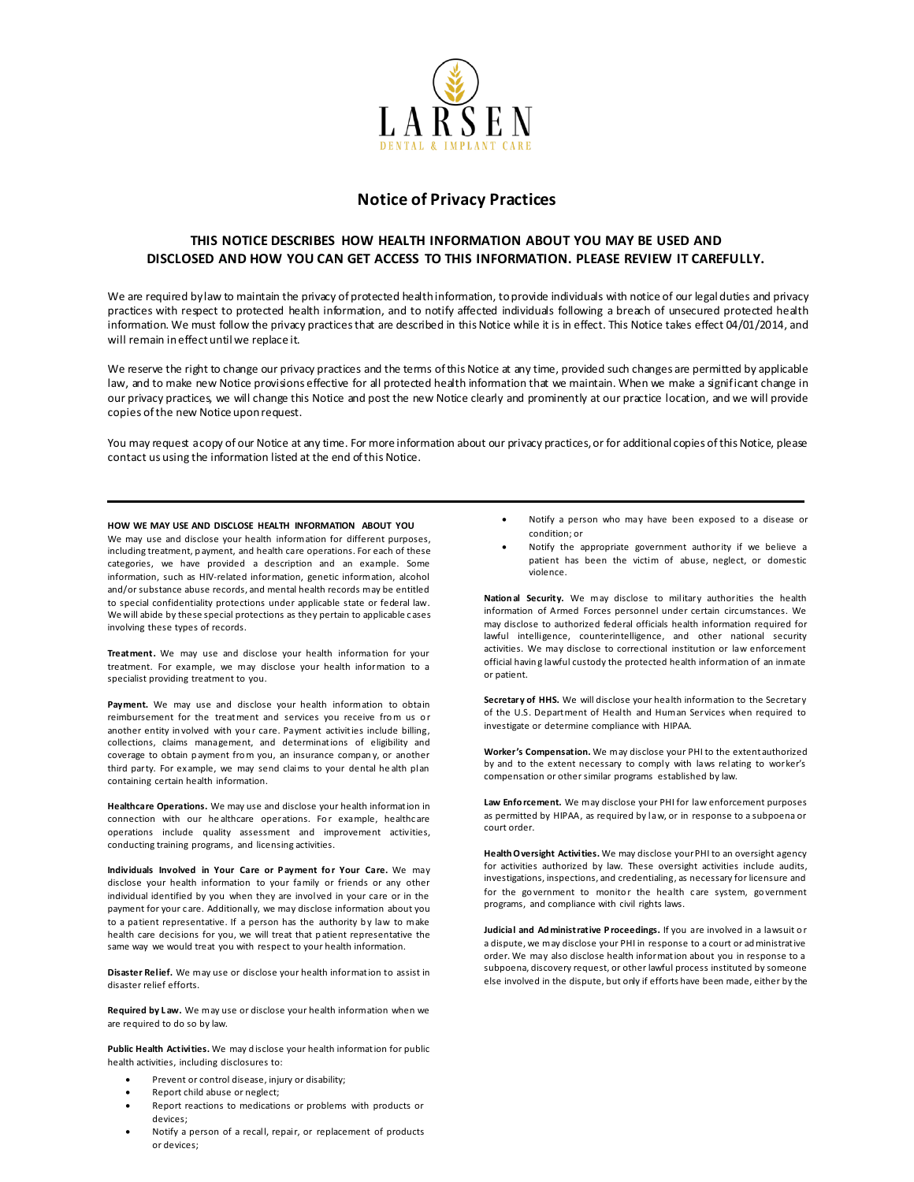

# **Notice of Privacy Practices**

## **THIS NOTICE DESCRIBES HOW HEALTH INFORMATION ABOUT YOU MAY BE USED AND DISCLOSED AND HOW YOU CAN GET ACCESS TO THIS INFORMATION. PLEASE REVIEW IT CAREFULLY.**

We are required by law to maintain the privacy of protected health information, to provide individuals with notice of our legal duties and privacy practices with respect to protected health information, and to notify affected individuals following a breach of unsecured protected health information. We must follow the privacy practices that are described in this Notice while it is in effect. This Notice takes effect 04/01/2014, and will remain in effect until we replace it.

We reserve the right to change our privacy practices and the terms of this Notice at any time, provided such changes are permitted by applicable law, and to make new Notice provisions effective for all protected health information that we maintain. When we make a significant change in our privacy practices, we will change this Notice and post the new Notice clearly and prominently at our practice location, and we will provide copies of the new Notice uponrequest.

You may request acopy of our Notice at any time. For more information about our privacy practices, or for additional copies of this Notice, please contact us using the information listed at the end of this Notice.

## **HOW WE MAY USE AND DISCLOSE HEALTH INFORMATION ABOUT YOU**

We may use and disclose your health information for different purposes. including treatment, p ayment, and health care operations. For each of these categories, we have provided a description and an example. Some information, such as HIV‐related information, genetic information, alcohol and/or substance abuse records, and mental health records may be entitled to special confidentiality protections under applicable state or federal law. We will abide by these special protections as they pertain to applicable cases involving these types of records.

**Treatment.** We may use and disclose your health information for your treatment. For example, we may disclose your health information to a specialist providing treatment to you.

Payment. We may use and disclose your health information to obtain reimbursement for the treatment and services you receive from us or another entity in volved with your care. Payment activities include billing, collections, claims management, and determinations of eligibility and coverage to obtain p ayment fro m you, an insurance compan y, or another third party. For ex ample, we may send claims to your dental he alth plan containing certain health information.

**Healthcare Operations.** We may use and disclose your health information in connection with our healthcare operations. For example, healthcare operations include quality assessment and improvement activities, conducting training programs, and licensing activities.

**Individuals Involved in Your Care or P ayment fo r Your Care.** We may disclose your health information to your family or friends or any other individual identified by you when they are involved in your care or in the payment for your c are. Additionally, we may disclose information about you to a patient representative. If a person has the authority by law to make health care decisions for you, we will treat that p atient representative the same way we would treat you with respect to your health information.

**Disaster Relief.** We may use or disclose your health information to assist in disaster relief efforts.

**Required by L aw.** We may use or disclose your health information when we are required to do so by law.

**Public Health Activities.** We may d isclose your health information for public health activities, including disclosures to:

- Prevent or control disease, injury or disability;
- Report child abuse or neglect:
- Report reactions to medications or problems with products or devices;
- Notify a person of a recall, repair, or replacement of products or devices;
- Notify a person who may have been exposed to a disease or condition; or
- Notify the appropriate government authority if we believe a patient has been the victim of abuse, neglect, or domestic violence.

**Nation al Security.** We may disclose to military authorities the health information of Armed Forces personnel under certain circumstances. We may disclose to authorized federal officials health information required for lawful intelligence, counterintelligence, and other national security activities. We may disclose to correctional institution or law enforcement official havin g lawful custody the protected health information of an inmate or patient.

**Secretary of HHS.** We will disclose your health information to the Secretary of the U.S. Department of Health and Human Services when required to investigate or determine compliance with HIPAA.

**Worker's Compensation.** We may disclose your PHI to the extentauthorized by and to the extent necessary to comply with laws relating to worker's compensation or other similar programs established by law.

**Law Enfo rcement.** We may disclose your PHI for law enforcement purposes as permitted by HIPAA, as required by law, or in response to a subpoena or court order.

**HealthOversight Activities.** We may disclose yourPHI to an oversight agency for activities authorized by law. These oversight activities include audits, investigations, inspections, and credentialing, as necessary for licensure and for the government to monitor the health care system, government programs, and compliance with civil rights laws.

**Judicial and Ad ministrative P roceedings.** If you are involved in a lawsuit o r a dispute, we may disclose your PHI in response to a court or ad ministrative order. We may also disclose health information about you in response to a subpoena, discovery request, or other lawful process instituted by someone else involved in the dispute, but only if efforts have been made, either by the